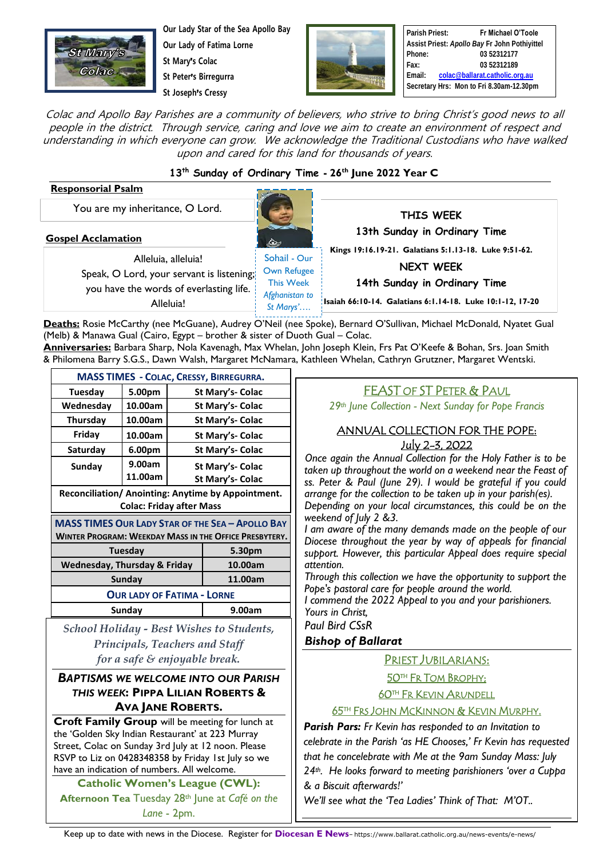

**Our Lady Star of the Sea Apollo Bay Our Lady of Fatima Lorne St Mary**'**s Colac**

**St Peter**'**s Birregurra**

**St Joseph**'**s Cressy**



**Parish Priest: Fr Michael O'Toole Assist Priest:** *Apollo Bay* **Fr John Pothiyittel Phone: 03 52312177 Fax: 03 52312189 Email: [colac@ballarat.catholic.org.au](mailto:colac@ballarat.catholic.org.au) Secretary Hrs: Mon to Fri 8.30am-12.30pm**

Colac and Apollo Bay Parishes are a community of believers, who strive to bring Christ's good news to all people in the district. Through service, caring and love we aim to create an environment of respect and understanding in which everyone can grow. We acknowledge the Traditional Custodians who have walked upon and cared for this land for thousands of years.

### **13th Sunday of Ordinary Time - 26th June 2022 Year C**

#### **Responsorial Psalm**

You are my inheritance, O Lord.

**Gospel Acclamation**

Alleluia, alleluia! Speak, O Lord, your servant is listening; you have the words of everlasting life. Alleluia!

Sohail - Our Own Refugee This Week *Afghanistan to St Marys'….*

**THIS WEEK 13th Sunday in Ordinary Time Kings 19:16.19-21. Galatians 5:1.13-18. Luke 9:51-62.**

**NEXT WEEK**

**14th Sunday in Ordinary Time** 

**Isaiah 66:10-14. Galatians 6:1.14-18. Luke 10:1-12, 17-20**

**Deaths:** Rosie McCarthy (nee McGuane), Audrey O'Neil (nee Spoke), Bernard O'Sullivan, Michael McDonald, Nyatet Gual *Colac.* (Melb) & Manawa Gual (Cairo, Egypt – brother & sister of Duoth Gual – Colac.

**Anniversaries:** Barbara Sharp, Nola Kavenagh, Max Whelan, John Joseph Klein, Frs Pat O'Keefe & Bohan, Srs. Joan Smith & Philomena Barry S.G.S., Dawn Walsh, Margaret McNamara, Kathleen Whelan, Cathryn Grutzner, Margaret Wentski.

| <b>MASS TIMES - COLAC, CRESSY, BIRREGURRA.</b>                |         |                  |                  |  |
|---------------------------------------------------------------|---------|------------------|------------------|--|
| Tuesday                                                       | 5.00pm  | St Mary's- Colac |                  |  |
| Wednesday                                                     | 10.00am | St Mary's- Colac |                  |  |
| Thursday                                                      | 10.00am | St Mary's- Colac |                  |  |
| Friday                                                        | 10.00am | St Mary's- Colac |                  |  |
| Saturday                                                      | 6.00pm  | St Mary's- Colac |                  |  |
| Sunday                                                        | 9.00am  | St Mary's- Colac |                  |  |
|                                                               | 11.00am |                  | St Mary's- Colac |  |
| Reconciliation/ Anointing: Anytime by Appointment.            |         |                  |                  |  |
| <b>Colac: Friday after Mass</b>                               |         |                  |                  |  |
| <b>MASS TIMES OUR LADY STAR OF THE SEA - APOLLO BAY</b>       |         |                  |                  |  |
| <b>WINTER PROGRAM: WEEKDAY MASS IN THE OFFICE PRESBYTERY.</b> |         |                  |                  |  |
| Tuesday                                                       |         |                  | 5.30pm           |  |
| Wednesday, Thursday & Friday                                  |         |                  | 10.00am          |  |
| Sunday                                                        |         |                  | 11.00am          |  |
| <b>OUR LADY OF FATIMA - LORNE</b>                             |         |                  |                  |  |
| Sunday                                                        |         |                  | 9.00am           |  |

*School Holiday - Best Wishes to Students, Principals, Teachers and Staff for a safe & enjoyable break.*

### *BAPTISMS WE WELCOME INTO OUR PARISH THIS WEEK***: PIPPA LILIAN ROBERTS & AVA JANE ROBERTS.**

**Croft Family Group** will be meeting for lunch at the 'Golden Sky Indian Restaurant' at 223 Murray Street, Colac on Sunday 3rd July at 12 noon. Please RSVP to Liz on 0428348358 by Friday 1st July so we have an indication of numbers. All welcome.

**Catholic Women's League (CWL): Afternoon Tea** Tuesday 28th June at *Café on the Lane* - 2pm.

# FEAST OF ST PETER & PAUL

*29th June Collection - Next Sunday for Pope Francis*

### ANNUAL COLLECTION FOR THE POPE: July 2-3, 2022

*Once again the Annual Collection for the Holy Father is to be taken up throughout the world on a weekend near the Feast of ss. Peter & Paul (June 29). I would be grateful if you could arrange for the collection to be taken up in your parish(es). Depending on your local circumstances, this could be on the weekend of July 2 &3.*

*I am aware of the many demands made on the people of our Diocese throughout the year by way of appeals for financial support. However, this particular Appeal does require special attention.*

*Through this collection we have the opportunity to support the Pope's pastoral care for people around the world. I commend the 2022 Appeal to you and your parishioners. Yours in Christ,*

*Paul Bird CSsR*

### *Bishop of Ballarat*

PRIEST JUBILARIANS:

**50<sup>TH</sup> FR TOM BROPHY**;

<u>60th Fr Kevin Arundell</u>

### <u>65th Frs John McKinnon & Kevin Murphy.</u>

*Parish Pars: Fr Kevin has responded to an Invitation to celebrate in the Parish 'as HE Chooses,' Fr Kevin has requested that he concelebrate with Me at the 9am Sunday Mass: July 24th. He looks forward to meeting parishioners 'over a Cuppa & a Biscuit afterwards!'*

*We'll see what the 'Tea Ladies' Think of That: M'OT..*

Keep up to date with news in the Diocese. Register for **Diocesan E News**– https://www.ballarat.catholic.org.au/news-events/e-news/